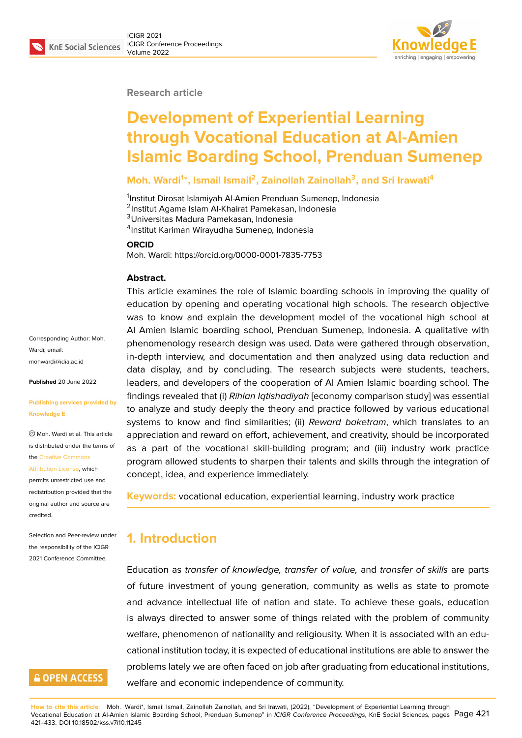

#### **Research article**

# **Development of Experiential Learning through Vocational Education at Al-Amien Islamic Boarding School, Prenduan Sumenep**

#### **Moh. Wardi<sup>1</sup> \*, Ismail Ismail<sup>2</sup> , Zainollah Zainollah<sup>3</sup> , and Sri Irawati<sup>4</sup>**

<sup>1</sup>Institut Dirosat Islamiyah Al-Amien Prenduan Sumenep, Indonesia <sup>2</sup>Institut Agama Islam Al-Khairat Pamekasan, Indonesia <sup>3</sup>Universitas Madura Pamekasan, Indonesia

4 Institut Kariman Wirayudha Sumenep, Indonesia

#### **ORCID**

Moh. Wardi: https://orcid.org/0000-0001-7835-7753

#### **Abstract.**

This article examines the role of Islamic boarding schools in improving the quality of education by opening and operating vocational high schools. The research objective was to know and explain the development model of the vocational high school at Al Amien Islamic boarding school, Prenduan Sumenep, Indonesia. A qualitative with phenomenology research design was used. Data were gathered through observation, in-depth interview, and documentation and then analyzed using data reduction and data display, and by concluding. The research subjects were students, teachers, leaders, and developers of the cooperation of Al Amien Islamic boarding school. The findings revealed that (i) *Rihlan Iqtishadiyah* [economy comparison study] was essential to analyze and study deeply the theory and practice followed by various educational systems to know and find similarities; (ii) *Reward baketram*, which translates to an appreciation and reward on effort, achievement, and creativity, should be incorporated as a part of the vocational skill-building program; and (iii) industry work practice program allowed students to sharpen their talents and skills through the integration of concept, idea, and experience immediately.

**Keywords:** vocational education, experiential learning, industry work practice

# **1. Introduction**

Education as *transfer of knowledge, transfer of value,* and *transfer of skills* are parts of future investment of young generation, community as wells as state to promote and advance intellectual life of nation and state. To achieve these goals, education is always directed to answer some of things related with the problem of community welfare, phenomenon of nationality and religiousity. When it is associated with an educational institution today, it is expected of educational institutions are able to answer the problems lately we are often faced on job after graduating from educational institutions, welfare and economic independence of community.

Corresponding Author: Moh. Wardi; email: mohwardi@idia.ac.id

**Published** 20 June 2022

#### **[Publishing services](mailto:mohwardi@idia.ac.id) provided by Knowledge E**

Moh. Wardi et al. This article is distributed under the terms of the Creative Commons

Attribution License, which

permits unrestricted use and redistribution provided that the orig[inal author and sou](https://creativecommons.org/licenses/by/4.0/)rce are [credited.](https://creativecommons.org/licenses/by/4.0/)

Selection and Peer-review under the responsibility of the ICIGR 2021 Conference Committee.

# **GOPEN ACCESS**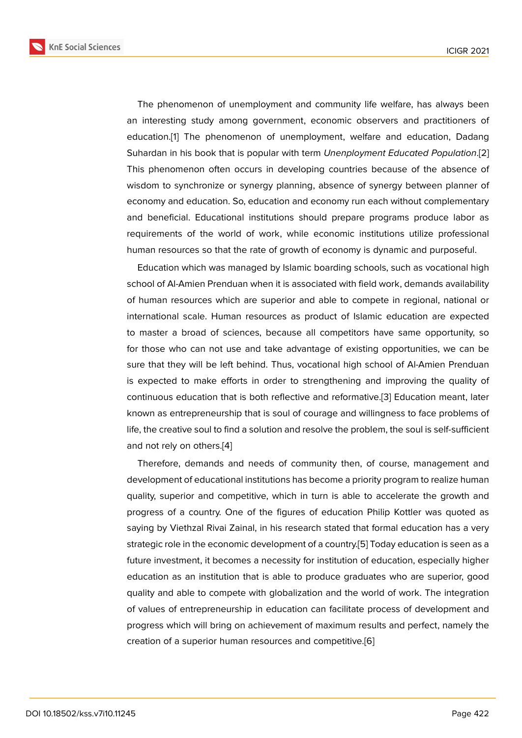The phenomenon of unemployment and community life welfare, has always been an interesting study among government, economic observers and practitioners of education.[1] The phenomenon of unemployment, welfare and education, Dadang Suhardan in his book that is popular with term *Unenployment Educated Population*.[2] This phenomenon often occurs in developing countries because of the absence of wisdom to [s](#page-10-0)ynchronize or synergy planning, absence of synergy between planner of economy and education. So, education and economy run each without complement[ary](#page-10-1) and beneficial. Educational institutions should prepare programs produce labor as requirements of the world of work, while economic institutions utilize professional human resources so that the rate of growth of economy is dynamic and purposeful.

Education which was managed by Islamic boarding schools, such as vocational high school of Al-Amien Prenduan when it is associated with field work, demands availability of human resources which are superior and able to compete in regional, national or international scale. Human resources as product of Islamic education are expected to master a broad of sciences, because all competitors have same opportunity, so for those who can not use and take advantage of existing opportunities, we can be sure that they will be left behind. Thus, vocational high school of Al-Amien Prenduan is expected to make efforts in order to strengthening and improving the quality of continuous education that is both reflective and reformative.[3] Education meant, later known as entrepreneurship that is soul of courage and willingness to face problems of life, the creative soul to find a solution and resolve the problem, the soul is self-sufficient and not rely on others.[4]

Therefore, demands and needs of community then, of course, management and development of educational institutions has become a priority program to realize human quality, superior and c[om](#page-10-2)petitive, which in turn is able to accelerate the growth and progress of a country. One of the figures of education Philip Kottler was quoted as saying by Viethzal Rivai Zainal, in his research stated that formal education has a very strategic role in the economic development of a country.[5] Today education is seen as a future investment, it becomes a necessity for institution of education, especially higher education as an institution that is able to produce graduates who are superior, good quality and able to compete with globalization and the [w](#page-10-3)orld of work. The integration of values of entrepreneurship in education can facilitate process of development and progress which will bring on achievement of maximum results and perfect, namely the creation of a superior human resources and competitive.[6]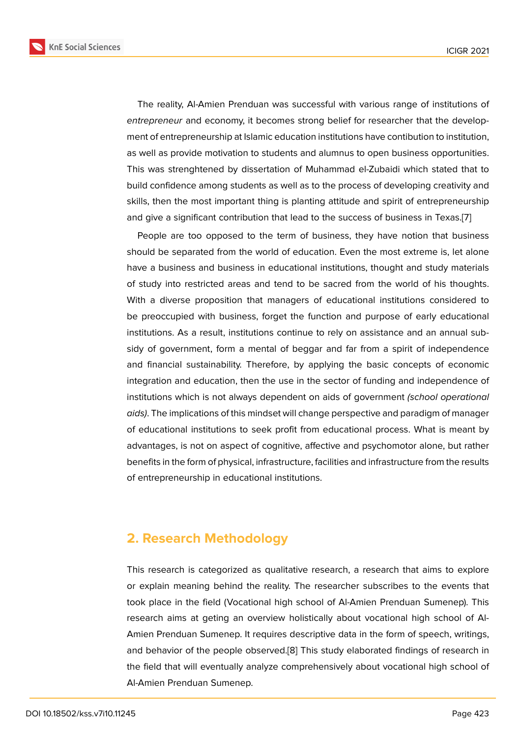The reality, Al-Amien Prenduan was successful with various range of institutions of *entrepreneur* and economy, it becomes strong belief for researcher that the development of entrepreneurship at Islamic education institutions have contibution to institution, as well as provide motivation to students and alumnus to open business opportunities. This was strenghtened by dissertation of Muhammad el-Zubaidi which stated that to build confidence among students as well as to the process of developing creativity and skills, then the most important thing is planting attitude and spirit of entrepreneurship and give a significant contribution that lead to the success of business in Texas.[7]

People are too opposed to the term of business, they have notion that business should be separated from the world of education. Even the most extreme is, let alone have a business and business in educational institutions, thought and study ma[te](#page-11-0)rials of study into restricted areas and tend to be sacred from the world of his thoughts. With a diverse proposition that managers of educational institutions considered to be preoccupied with business, forget the function and purpose of early educational institutions. As a result, institutions continue to rely on assistance and an annual subsidy of government, form a mental of beggar and far from a spirit of independence and financial sustainability. Therefore, by applying the basic concepts of economic integration and education, then the use in the sector of funding and independence of institutions which is not always dependent on aids of government *(school operational aids)*. The implications of this mindset will change perspective and paradigm of manager of educational institutions to seek profit from educational process. What is meant by advantages, is not on aspect of cognitive, affective and psychomotor alone, but rather benefits in the form of physical, infrastructure, facilities and infrastructure from the results of entrepreneurship in educational institutions.

# **2. Research Methodology**

This research is categorized as qualitative research, a research that aims to explore or explain meaning behind the reality. The researcher subscribes to the events that took place in the field (Vocational high school of Al-Amien Prenduan Sumenep). This research aims at geting an overview holistically about vocational high school of Al-Amien Prenduan Sumenep. It requires descriptive data in the form of speech, writings, and behavior of the people observed.[8] This study elaborated findings of research in the field that will eventually analyze comprehensively about vocational high school of Al-Amien Prenduan Sumenep.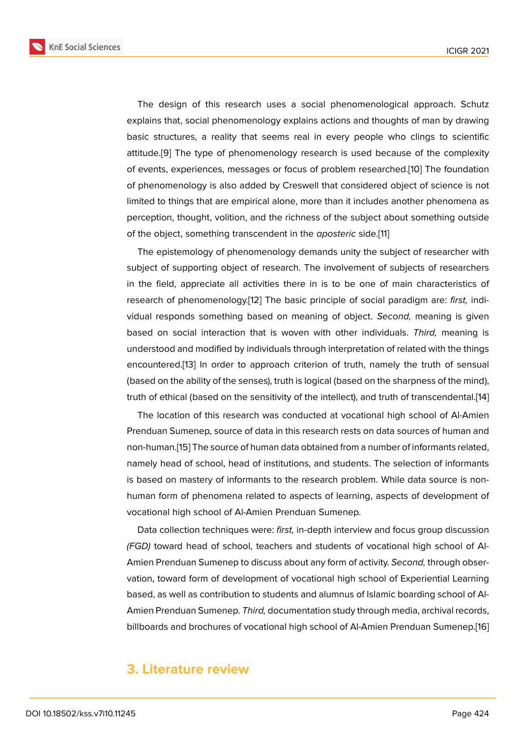The design of this research uses a social phenomenological approach. Schutz explains that, social phenomenology explains actions and thoughts of man by drawing basic structures, a reality that seems real in every people who clings to scientific attitude.[9] The type of phenomenology research is used because of the complexity of events, experiences, messages or focus of problem researched.[10] The foundation of phenomenology is also added by Creswell that considered object of science is not limited t[o t](#page-11-1)hings that are empirical alone, more than it includes another phenomena as perception, thought, volition, and the richness of the subject about [so](#page-11-2)mething outside of the object, something transcendent in the *aposteric* side.[11]

The epistemology of phenomenology demands unity the subject of researcher with subject of supporting object of research. The involvement of subjects of researchers in the field, appreciate all activities there in is to be one [of](#page-11-3) main characteristics of research of phenomenology.[12] The basic principle of social paradigm are: *first,* individual responds something based on meaning of object. *Second,* meaning is given based on social interaction that is woven with other individuals. *Third,* meaning is understood and modified by i[nd](#page-11-4)ividuals through interpretation of related with the things encountered.[13] In order to approach criterion of truth, namely the truth of sensual (based on the ability of the senses), truth is logical (based on the sharpness of the mind), truth of ethical (based on the sensitivity of the intellect), and truth of transcendental.[14]

The locati[on o](#page-11-5)f this research was conducted at vocational high school of Al-Amien Prenduan Sumenep, source of data in this research rests on data sources of human and non-human.[15] The source of human data obtained from a number of informants relat[ed,](#page-11-6) namely head of school, head of institutions, and students. The selection of informants is based on mastery of informants to the research problem. While data source is nonhuman form [of](#page-11-7) phenomena related to aspects of learning, aspects of development of vocational high school of Al-Amien Prenduan Sumenep.

Data collection techniques were: *first,* in-depth interview and focus group discussion *(FGD)* toward head of school, teachers and students of vocational high school of Al-Amien Prenduan Sumenep to discuss about any form of activity. *Second,* through observation, toward form of development of vocational high school of Experiential Learning based, as well as contribution to students and alumnus of Islamic boarding school of Al-Amien Prenduan Sumenep. *Third,* documentation study through media, archival records, billboards and brochures of vocational high school of Al-Amien Prenduan Sumenep.[16]

### **3. Literature review**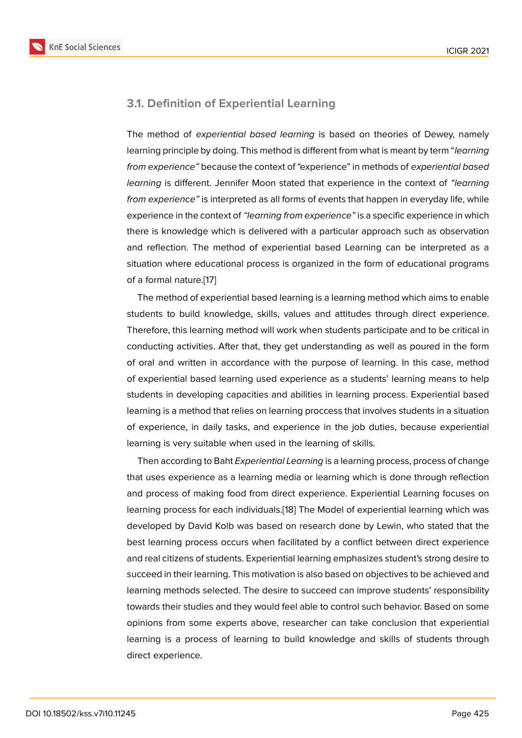### **3.1. Definition of Experiential Learning**

The method of *experiential based learning* is based on theories of Dewey, namely learning principle by doing. This method is different from what is meant by term "*learning from experience"* because the context of "experience" in methods of *experiential based learning* is different. Jennifer Moon stated that experience in the context of *"learning from experience"* is interpreted as all forms of events that happen in everyday life, while experience in the context of *"learning from experience"* is a specific experience in which there is knowledge which is delivered with a particular approach such as observation and reflection. The method of experiential based Learning can be interpreted as a situation where educational process is organized in the form of educational programs of a formal nature.[17]

The method of experiential based learning is a learning method which aims to enable students to build knowledge, skills, values and attitudes through direct experience. Therefore, this lear[nin](#page-11-8)g method will work when students participate and to be critical in conducting activities. After that, they get understanding as well as poured in the form of oral and written in accordance with the purpose of learning. In this case, method of experiential based learning used experience as a students' learning means to help students in developing capacities and abilities in learning process. Experiential based learning is a method that relies on learning proccess that involves students in a situation of experience, in daily tasks, and experience in the job duties, because experiential learning is very suitable when used in the learning of skills.

Then according to Baht *Experiential Learning* is a learning process, process of change that uses experience as a learning media or learning which is done through reflection and process of making food from direct experience. Experiential Learning focuses on learning process for each individuals.[18] The Model of experiential learning which was developed by David Kolb was based on research done by Lewin, who stated that the best learning process occurs when facilitated by a conflict between direct experience and real citizens of students. Experien[tial](#page-11-9) learning emphasizes student's strong desire to succeed in their learning. This motivation is also based on objectives to be achieved and learning methods selected. The desire to succeed can improve students' responsibility towards their studies and they would feel able to control such behavior. Based on some opinions from some experts above, researcher can take conclusion that experiential learning is a process of learning to build knowledge and skills of students through direct experience.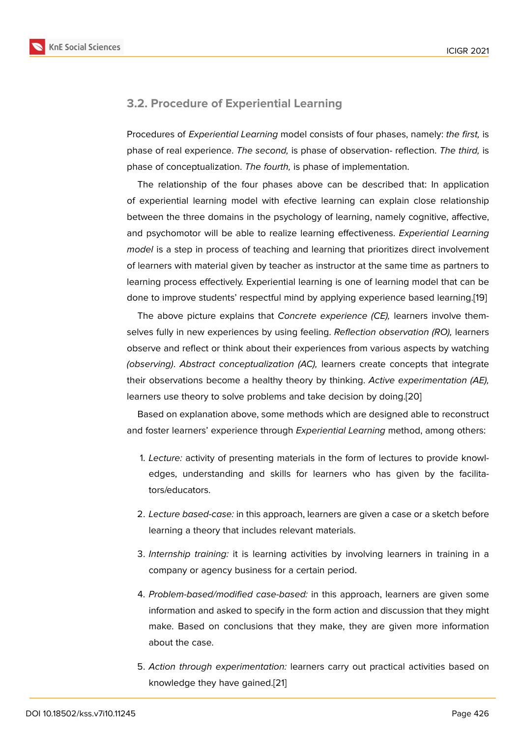### **3.2. Procedure of Experiential Learning**

Procedures of *Experiential Learning* model consists of four phases, namely: *the first,* is phase of real experience. *The second,* is phase of observation- reflection. *The third,* is phase of conceptualization. *The fourth,* is phase of implementation.

The relationship of the four phases above can be described that: In application of experiential learning model with efective learning can explain close relationship between the three domains in the psychology of learning, namely cognitive, affective, and psychomotor will be able to realize learning effectiveness. *Experiential Learning model* is a step in process of teaching and learning that prioritizes direct involvement of learners with material given by teacher as instructor at the same time as partners to learning process effectively. Experiential learning is one of learning model that can be done to improve students' respectful mind by applying experience based learning.[19]

The above picture explains that *Concrete experience (CE),* learners involve themselves fully in new experiences by using feeling. *Reflection observation (RO),* learners observe and reflect or think about their experiences from various aspects by watc[hing](#page-11-10) *(observing)*. *Abstract conceptualization (AC),* learners create concepts that integrate their observations become a healthy theory by thinking. *Active experimentation (AE),* learners use theory to solve problems and take decision by doing.[20]

Based on explanation above, some methods which are designed able to reconstruct and foster learners' experience through *Experiential Learning* method, among others:

- 1. *Lecture:* activity of presenting materials in the form of lectures to provide knowledges, understanding and skills for learners who has given by the facilitators/educators.
- 2. *Lecture based-case:* in this approach, learners are given a case or a sketch before learning a theory that includes relevant materials.
- 3. *Internship training:* it is learning activities by involving learners in training in a company or agency business for a certain period.
- 4. *Problem-based/modified case-based:* in this approach, learners are given some information and asked to specify in the form action and discussion that they might make. Based on conclusions that they make, they are given more information about the case.
- 5. *Action through experimentation:* learners carry out practical activities based on knowledge they have gained.[21]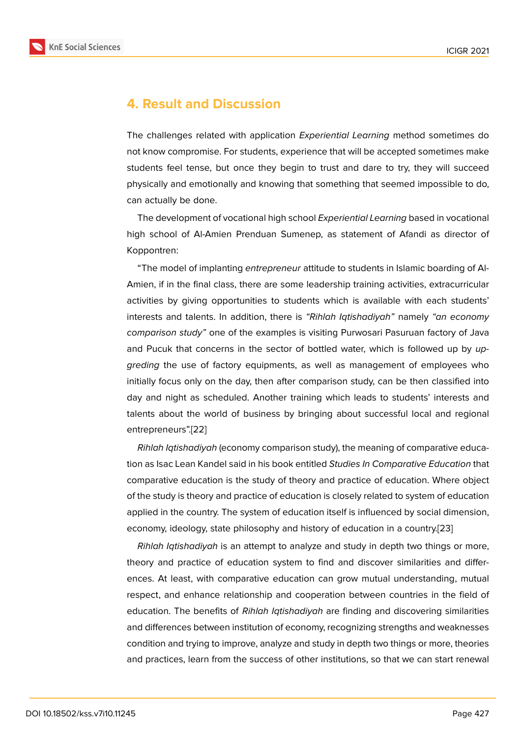# **4. Result and Discussion**

The challenges related with application *Experiential Learning* method sometimes do not know compromise. For students, experience that will be accepted sometimes make students feel tense, but once they begin to trust and dare to try, they will succeed physically and emotionally and knowing that something that seemed impossible to do, can actually be done.

The development of vocational high school *Experiential Learning* based in vocational high school of Al-Amien Prenduan Sumenep, as statement of Afandi as director of Koppontren:

"The model of implanting *entrepreneur* attitude to students in Islamic boarding of Al-Amien, if in the final class, there are some leadership training activities, extracurricular activities by giving opportunities to students which is available with each students' interests and talents. In addition, there is *"Rihlah Iqtishadiyah"* namely *"an economy comparison study"* one of the examples is visiting Purwosari Pasuruan factory of Java and Pucuk that concerns in the sector of bottled water, which is followed up by *upgreding* the use of factory equipments, as well as management of employees who initially focus only on the day, then after comparison study, can be then classified into day and night as scheduled. Another training which leads to students' interests and talents about the world of business by bringing about successful local and regional entrepreneurs".[22]

*Rihlah Iqtishadiyah* (economy comparison study), the meaning of comparative education as Isac Lean Kandel said in his book entitled *Studies In Comparative Education* that comparative ed[uca](#page-11-11)tion is the study of theory and practice of education. Where object of the study is theory and practice of education is closely related to system of education applied in the country. The system of education itself is influenced by social dimension, economy, ideology, state philosophy and history of education in a country.[23]

*Rihlah Iqtishadiyah* is an attempt to analyze and study in depth two things or more, theory and practice of education system to find and discover similarities and differences. At least, with comparative education can grow mutual understan[ding](#page-12-0), mutual respect, and enhance relationship and cooperation between countries in the field of education. The benefits of *Rihlah Iqtishadiyah* are finding and discovering similarities and differences between institution of economy, recognizing strengths and weaknesses condition and trying to improve, analyze and study in depth two things or more, theories and practices, learn from the success of other institutions, so that we can start renewal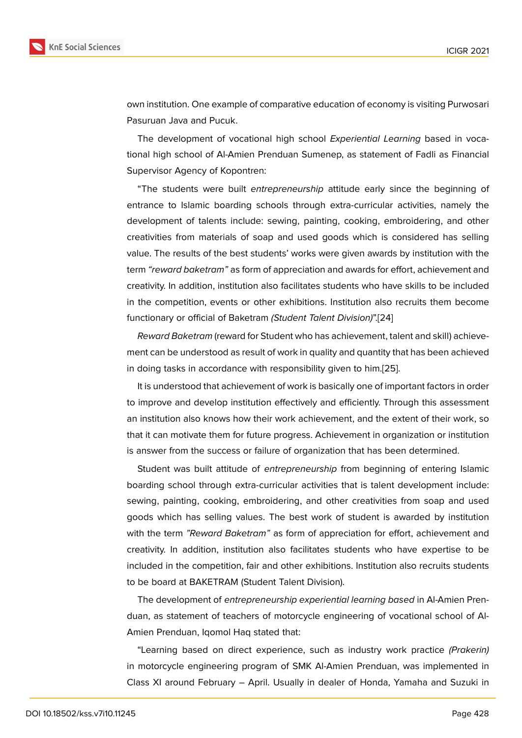own institution. One example of comparative education of economy is visiting Purwosari Pasuruan Java and Pucuk.

The development of vocational high school *Experiential Learning* based in vocational high school of Al-Amien Prenduan Sumenep, as statement of Fadli as Financial Supervisor Agency of Kopontren:

"The students were built *entrepreneurship* attitude early since the beginning of entrance to Islamic boarding schools through extra-curricular activities, namely the development of talents include: sewing, painting, cooking, embroidering, and other creativities from materials of soap and used goods which is considered has selling value. The results of the best students' works were given awards by institution with the term *"reward baketram"* as form of appreciation and awards for effort, achievement and creativity. In addition, institution also facilitates students who have skills to be included in the competition, events or other exhibitions. Institution also recruits them become functionary or official of Baketram *(Student Talent Division)*".[24]

*Reward Baketram* (reward for Student who has achievement, talent and skill) achievement can be understood as result of work in quality and quantity that has been achieved in doing tasks in accordance with responsibility given to him[.\[25](#page-12-1)].

It is understood that achievement of work is basically one of important factors in order to improve and develop institution effectively and efficiently. Through this assessment an institution also knows how their work achievement, and th[e e](#page-12-2)xtent of their work, so that it can motivate them for future progress. Achievement in organization or institution is answer from the success or failure of organization that has been determined.

Student was built attitude of *entrepreneurship* from beginning of entering Islamic boarding school through extra-curricular activities that is talent development include: sewing, painting, cooking, embroidering, and other creativities from soap and used goods which has selling values. The best work of student is awarded by institution with the term *"Reward Baketram"* as form of appreciation for effort, achievement and creativity. In addition, institution also facilitates students who have expertise to be included in the competition, fair and other exhibitions. Institution also recruits students to be board at BAKETRAM (Student Talent Division).

The development of *entrepreneurship experiential learning based* in Al-Amien Prenduan, as statement of teachers of motorcycle engineering of vocational school of Al-Amien Prenduan, Iqomol Haq stated that:

"Learning based on direct experience, such as industry work practice *(Prakerin)* in motorcycle engineering program of SMK Al-Amien Prenduan, was implemented in Class XI around February – April. Usually in dealer of Honda, Yamaha and Suzuki in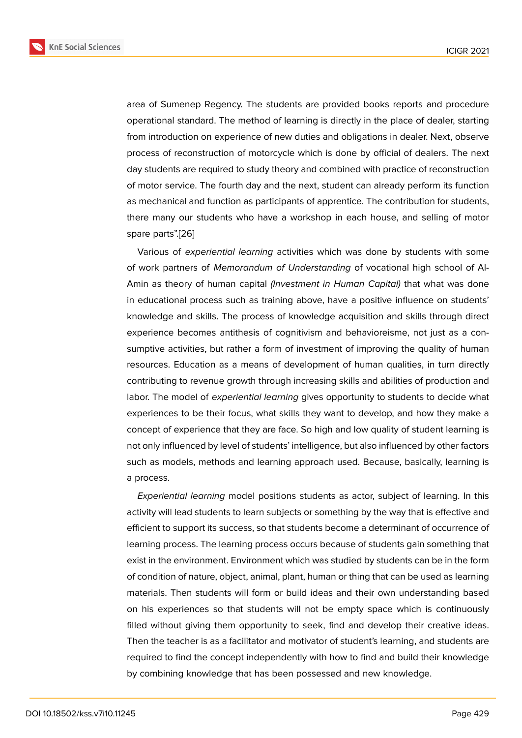area of Sumenep Regency. The students are provided books reports and procedure operational standard. The method of learning is directly in the place of dealer, starting from introduction on experience of new duties and obligations in dealer. Next, observe process of reconstruction of motorcycle which is done by official of dealers. The next day students are required to study theory and combined with practice of reconstruction of motor service. The fourth day and the next, student can already perform its function as mechanical and function as participants of apprentice. The contribution for students, there many our students who have a workshop in each house, and selling of motor spare parts".[26]

Various of *experiential learning* activities which was done by students with some of work partners of *Memorandum of Understanding* of vocational high school of Al-Amin as the[ory](#page-12-3) of human capital *(Investment in Human Capital)* that what was done in educational process such as training above, have a positive influence on students' knowledge and skills. The process of knowledge acquisition and skills through direct experience becomes antithesis of cognitivism and behavioreisme, not just as a consumptive activities, but rather a form of investment of improving the quality of human resources. Education as a means of development of human qualities, in turn directly contributing to revenue growth through increasing skills and abilities of production and labor. The model of *experiential learning* gives opportunity to students to decide what experiences to be their focus, what skills they want to develop, and how they make a concept of experience that they are face. So high and low quality of student learning is not only influenced by level of students' intelligence, but also influenced by other factors such as models, methods and learning approach used. Because, basically, learning is a process.

*Experiential learning* model positions students as actor, subject of learning. In this activity will lead students to learn subjects or something by the way that is effective and efficient to support its success, so that students become a determinant of occurrence of learning process. The learning process occurs because of students gain something that exist in the environment. Environment which was studied by students can be in the form of condition of nature, object, animal, plant, human or thing that can be used as learning materials. Then students will form or build ideas and their own understanding based on his experiences so that students will not be empty space which is continuously filled without giving them opportunity to seek, find and develop their creative ideas. Then the teacher is as a facilitator and motivator of student's learning, and students are required to find the concept independently with how to find and build their knowledge by combining knowledge that has been possessed and new knowledge.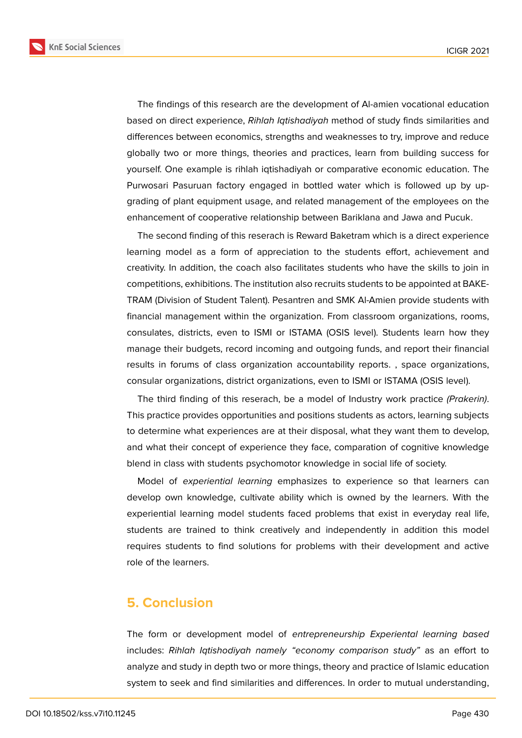**KnE Social Sciences** 



The findings of this research are the development of Al-amien vocational education based on direct experience, *Rihlah Iqtishadiyah* method of study finds similarities and differences between economics, strengths and weaknesses to try, improve and reduce globally two or more things, theories and practices, learn from building success for yourself. One example is rihlah iqtishadiyah or comparative economic education. The Purwosari Pasuruan factory engaged in bottled water which is followed up by upgrading of plant equipment usage, and related management of the employees on the enhancement of cooperative relationship between Bariklana and Jawa and Pucuk.

The second finding of this reserach is Reward Baketram which is a direct experience learning model as a form of appreciation to the students effort, achievement and creativity. In addition, the coach also facilitates students who have the skills to join in competitions, exhibitions. The institution also recruits students to be appointed at BAKE-TRAM (Division of Student Talent). Pesantren and SMK Al-Amien provide students with financial management within the organization. From classroom organizations, rooms, consulates, districts, even to ISMI or ISTAMA (OSIS level). Students learn how they manage their budgets, record incoming and outgoing funds, and report their financial results in forums of class organization accountability reports. , space organizations, consular organizations, district organizations, even to ISMI or ISTAMA (OSIS level).

The third finding of this reserach, be a model of Industry work practice *(Prakerin)*. This practice provides opportunities and positions students as actors, learning subjects to determine what experiences are at their disposal, what they want them to develop, and what their concept of experience they face, comparation of cognitive knowledge blend in class with students psychomotor knowledge in social life of society.

Model of *experiential learning* emphasizes to experience so that learners can develop own knowledge, cultivate ability which is owned by the learners. With the experiential learning model students faced problems that exist in everyday real life, students are trained to think creatively and independently in addition this model requires students to find solutions for problems with their development and active role of the learners.

# **5. Conclusion**

The form or development model of *entrepreneurship Experiental learning based* includes: *Rihlah Iqtishodiyah namely "economy comparison study"* as an effort to analyze and study in depth two or more things, theory and practice of Islamic education system to seek and find similarities and differences. In order to mutual understanding,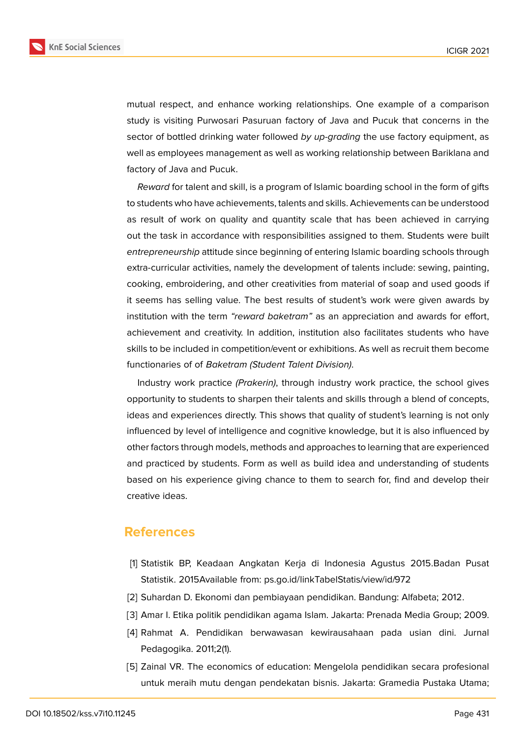

mutual respect, and enhance working relationships. One example of a comparison study is visiting Purwosari Pasuruan factory of Java and Pucuk that concerns in the sector of bottled drinking water followed *by up-grading* the use factory equipment, as well as employees management as well as working relationship between Bariklana and factory of Java and Pucuk.

*Reward* for talent and skill, is a program of Islamic boarding school in the form of gifts to students who have achievements, talents and skills. Achievements can be understood as result of work on quality and quantity scale that has been achieved in carrying out the task in accordance with responsibilities assigned to them. Students were built *entrepreneurship* attitude since beginning of entering Islamic boarding schools through extra-curricular activities, namely the development of talents include: sewing, painting, cooking, embroidering, and other creativities from material of soap and used goods if it seems has selling value. The best results of student's work were given awards by institution with the term *"reward baketram"* as an appreciation and awards for effort, achievement and creativity. In addition, institution also facilitates students who have skills to be included in competition/event or exhibitions. As well as recruit them become functionaries of of *Baketram (Student Talent Division)*.

Industry work practice *(Prakerin)*, through industry work practice, the school gives opportunity to students to sharpen their talents and skills through a blend of concepts, ideas and experiences directly. This shows that quality of student's learning is not only influenced by level of intelligence and cognitive knowledge, but it is also influenced by other factors through models, methods and approaches to learning that are experienced and practiced by students. Form as well as build idea and understanding of students based on his experience giving chance to them to search for, find and develop their creative ideas.

### **References**

- <span id="page-10-0"></span>[1] Statistik BP, Keadaan Angkatan Kerja di Indonesia Agustus 2015.Badan Pusat Statistik. 2015Available from: ps.go.id/linkTabelStatis/view/id/972
- <span id="page-10-1"></span>[2] Suhardan D. Ekonomi dan pembiayaan pendidikan. Bandung: Alfabeta; 2012.
- <span id="page-10-2"></span>[3] Amar I. Etika politik pendidikan agama Islam. Jakarta: Prenada Media Group; 2009.
- [4] Rahmat A. Pendidikan berwawasan kewirausahaan pada usian dini. Jurnal Pedagogika. 2011;2(1).
- <span id="page-10-3"></span>[5] Zainal VR. The economics of education: Mengelola pendidikan secara profesional untuk meraih mutu dengan pendekatan bisnis. Jakarta: Gramedia Pustaka Utama;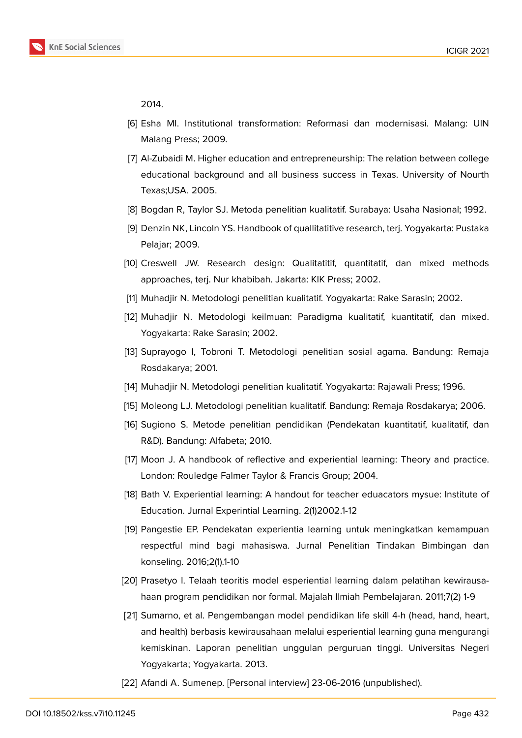2014.

- [6] Esha MI. Institutional transformation: Reformasi dan modernisasi. Malang: UIN Malang Press; 2009.
- <span id="page-11-0"></span>[7] Al-Zubaidi M. Higher education and entrepreneurship: The relation between college educational background and all business success in Texas. University of Nourth Texas;USA. 2005.
- [8] Bogdan R, Taylor SJ. Metoda penelitian kualitatif. Surabaya: Usaha Nasional; 1992.
- <span id="page-11-1"></span>[9] Denzin NK, Lincoln YS. Handbook of quallitatitive research, terj. Yogyakarta: Pustaka Pelajar; 2009.
- <span id="page-11-2"></span>[10] Creswell JW. Research design: Qualitatitif, quantitatif, dan mixed methods approaches, terj. Nur khabibah. Jakarta: KIK Press; 2002.
- <span id="page-11-3"></span>[11] Muhadjir N. Metodologi penelitian kualitatif. Yogyakarta: Rake Sarasin; 2002.
- <span id="page-11-4"></span>[12] Muhadjir N. Metodologi keilmuan: Paradigma kualitatif, kuantitatif, dan mixed. Yogyakarta: Rake Sarasin; 2002.
- <span id="page-11-5"></span>[13] Suprayogo I, Tobroni T. Metodologi penelitian sosial agama. Bandung: Remaja Rosdakarya; 2001.
- <span id="page-11-6"></span>[14] Muhadjir N. Metodologi penelitian kualitatif. Yogyakarta: Rajawali Press; 1996.
- <span id="page-11-7"></span>[15] Moleong LJ. Metodologi penelitian kualitatif. Bandung: Remaja Rosdakarya; 2006.
- [16] Sugiono S. Metode penelitian pendidikan (Pendekatan kuantitatif, kualitatif, dan R&D). Bandung: Alfabeta; 2010.
- <span id="page-11-8"></span>[17] Moon J. A handbook of reflective and experiential learning: Theory and practice. London: Rouledge Falmer Taylor & Francis Group; 2004.
- <span id="page-11-9"></span>[18] Bath V. Experiential learning: A handout for teacher eduacators mysue: Institute of Education. Jurnal Experintial Learning. 2(1)2002.1-12
- <span id="page-11-10"></span>[19] Pangestie EP. Pendekatan experientia learning untuk meningkatkan kemampuan respectful mind bagi mahasiswa. Jurnal Penelitian Tindakan Bimbingan dan konseling. 2016;2(1).1-10
- [20] Prasetyo I. Telaah teoritis model esperiential learning dalam pelatihan kewirausahaan program pendidikan nor formal. Majalah Ilmiah Pembelajaran. 2011;7(2) 1-9
- [21] Sumarno, et al. Pengembangan model pendidikan life skill 4-h (head, hand, heart, and health) berbasis kewirausahaan melalui esperiential learning guna mengurangi kemiskinan. Laporan penelitian unggulan perguruan tinggi. Universitas Negeri Yogyakarta; Yogyakarta. 2013.
- <span id="page-11-11"></span>[22] Afandi A. Sumenep. [Personal interview] 23-06-2016 (unpublished).